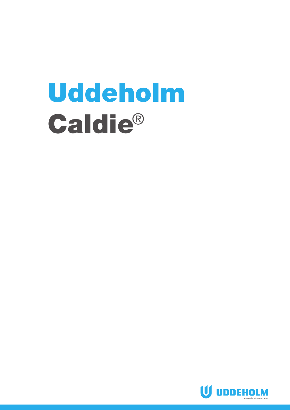# Uddeholm Caldie®

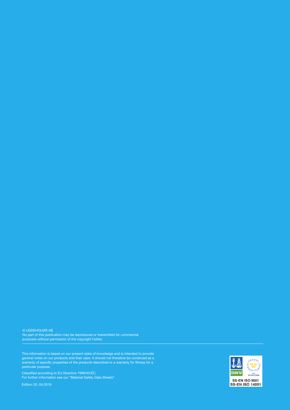© UDDEHOLMS AB

No part of this publication may be reproduced or transmitted for commercial purposes without permission of the copyright holder.

This information is based on our present state of knowledge and is intended to provide general notes on our products and their uses. It should not therefore be construed as a warranty of specific properties of the products described or a warranty for fitness for a particular purpose.

Classified according to EU Directive 1999/45/EC For further information see our "Material Safety Data Sheets".

Edition 20, 04.2019

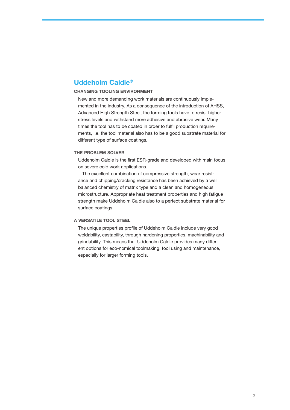## **Uddeholm Caldie®**

## **CHANGING TOOLING ENVIRONMENT**

New and more demanding work materials are continuously implemented in the industry. As a consequence of the introduction of AHSS, Advanced High Strength Steel, the forming tools have to resist higher stress levels and withstand more adhesive and abrasive wear. Many times the tool has to be coated in order to fulfil production requirements, i.e. the tool material also has to be a good substrate material for different type of surface coatings.

#### **THE PROBLEM SOLVER**

Uddeholm Caldie is the first ESR-grade and developed with main focus on severe cold work applications.

The excellent combination of compressive strength, wear resistance and chipping/cracking resistance has been achieved by a well balanced chemistry of matrix type and a clean and homogeneous microstructure. Appropriate heat treatment properties and high fatigue strength make Uddeholm Caldie also to a perfect substrate material for surface coatings

#### **A VERSATILE TOOL STEEL**

The unique properties profile of Uddeholm Caldie include very good weldability, castability, through hardening properties, machinability and grindability. This means that Uddeholm Caldie provides many different options for eco-nomical toolmaking, tool using and maintenance, especially for larger forming tools.

Uddeholm Caldie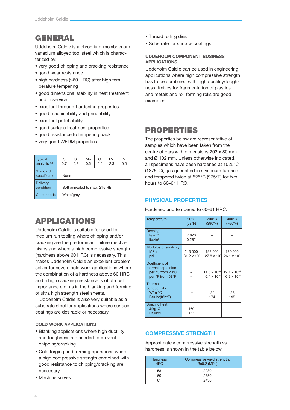# **GENERAL**

Uddeholm Caldie is a chromium-molybdenumvanadium alloyed tool steel which is characterized by:

- very good chipping and cracking resistance
- good wear resistance
- high hardness (>60 HRC) after high temperature tempering
- good dimensional stability in heat treatment and in service
- excellent through-hardening properties
- good machinability and grindability
- excellent polishability
- good surface treatment properties
- good resistance to tempering back
- very good WEDM properties

| <b>Typical</b><br>analysis % | C<br>0.7                     | Si<br>0.2 | Mn<br>0.5 | Cr<br>5.0 | Mo<br>2.3 | v<br>0.5 |
|------------------------------|------------------------------|-----------|-----------|-----------|-----------|----------|
| Standard<br>specification    |                              | None      |           |           |           |          |
| <b>Delivery</b><br>condition | Soft annealed to max, 215 HB |           |           |           |           |          |
| Colour code                  | White/grey                   |           |           |           |           |          |

## APPLICATIONS

Uddeholm Caldie is suitable for short to medium run tooling where chipping and/or cracking are the predominant failure mechanisms and where a high compressive strength (hardness above 60 HRC) is necessary. This makes Uddeholm Caldie an excellent problem solver for severe cold work applications where the combination of a hardness above 60 HRC and a high cracking resistance is of utmost importance e.g. as in the blanking and forming of ultra high strength steel sheets.

Uddeholm Caldie is also very suitable as a substrate steel for applications where surface coatings are desirable or necessary.

## **COLD WORK APPLICATIONS**

- Blanking applications where high ductility and toughness are needed to prevent chipping/cracking
- Cold forging and forming operations where a high compressive strength combined with good resistance to chipping/cracking are necessary
- Machine knives
- Thread rolling dies
- Substrate for surface coatings

## **UDDEHOLM COMPONENT BUSINESS APPLICATIONS**

Uddeholm Caldie can be used in engineering applications where high compressive strength has to be combined with high ductility/toughness. Knives for fragmentation of plastics and metals and roll forming rolls are good examples.

## PROPERTIES

The properties below are representative of samples which have been taken from the centre of bars with dimensions 203 x 80 mm and Ø 102 mm. Unless otherwise indicated. all specimens have been hardened at 1025°C (1875°C), gas quenched in a vacuum furnace and tempered twice at 525°C (975°F) for two hours to 60–61 HRC.

## **PHYSICAL PROPERTIES**

Hardened and tempered to 60–61 HRC.

| Temperature                                                                 | $20^{\circ}$ C<br>(68°F)        | $200^{\circ}$ C<br>(390°F)                    | $400^{\circ}$ C<br>(750°F)                    |
|-----------------------------------------------------------------------------|---------------------------------|-----------------------------------------------|-----------------------------------------------|
| Density,<br>$\text{kg/m}^3$<br>lbs/in <sup>3</sup>                          | 7820<br>0.282                   |                                               |                                               |
| Modulus of elasticity<br><b>MPa</b><br>psi                                  | 213 000<br>$31.2 \times 10^{6}$ | 192 000<br>27.8 x 10 <sup>6</sup>             | 180 000<br>$26.1 \times 10^{6}$               |
| Coefficient of<br>thermal expansion<br>per °C from 20°C<br>per °F from 68°F |                                 | $11.6 \times 10^{-6}$<br>$6.4 \times 10^{-6}$ | $12.4 \times 10^{-6}$<br>$6.9 \times 10^{-6}$ |
| <b>Thermal</b><br>conductivity<br>W/m °C<br>Btu in/(ft <sup>2</sup> h°F)    |                                 | 24<br>174                                     | 28<br>195                                     |
| <b>Specific heat</b><br>$J/kg$ °C<br>Btu/lb°F                               | 460<br>0.11                     |                                               |                                               |

## **COMPRESSIVE STRENGTH**

Approximately compressive strength vs. hardness is shown in the table below.

| <b>Hardness</b><br><b>HRC</b> | Compressive yield strength,<br><b>Rc0,2 (MPa)</b> |
|-------------------------------|---------------------------------------------------|
| 58                            | 2230                                              |
| 60                            | 2350                                              |
| 61                            | 2430                                              |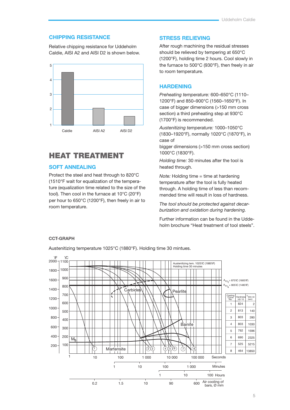## **CHIPPING RESISTANCE**

Relative chipping resistance for Uddeholm Caldie, AISI A2 and AISI D2 is shown below.



## HEAT TREATMENT

## **SOFT ANNEALING**

Protect the steel and heat through to 820°C (1510°F wait for equalization of the temperature (equalization time related to the size of the tool). Then cool in the furnace at 10°C (20°F) per hour to 650°C (1200°F), then freely in air to room temperature.

## **STRESS RELIEVING**

After rough machining the residual stresses should be relieved by tempering at 650°C (1200°F), holding time 2 hours. Cool slowly in the furnace to 500°C (930°F), then freely in air to room temperature.

## **HARDENING**

*Preheating temperature:* 600–650°C (1110– 1200°F) and 850–900°C (1560–1650°F). In case of bigger dimensions (>150 mm cross section) a third preheating step at 930°C (1700°F) is recommended.

*Austenitizing temperature:* 1000–1050°C (1830–1920°F), normally 1020°C (1870°F), in case of

bigger dimensions (>150 mm cross section) 1000°C (1830°F).

*Holding time:* 30 minutes after the tool is heated through.

*Note:* Holding time = time at hardening temperature after the tool is fully heated through. A holding time of less than recommended time will result in loss of hardness.

*The tool should be protected against decarburization and oxidation during hardening.*

Further information can be found in the Uddeholm brochure "Heat treatment of tool steels".

## **CCT-GRAPH**

Austenitizing temperature 1025°C (1880°F). Holding time 30 mintues.

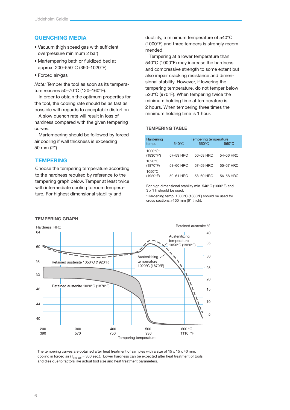## **QUENCHING MEDIA**

- Vacuum (high speed gas with sufficient overpressure minimum 2 bar)
- Martempering bath or fluidized bed at approx. 200–550°C (390–1020°F)
- Forced air/gas

*Note:* Temper the tool as soon as its temperature reaches 50–70°C (120–160°F).

In order to obtain the optimum properties for the tool, the cooling rate should be as fast as possible with regards to acceptable distortion.

A slow quench rate will result in loss of hardness compared with the given tempering curves.

Martempering should be followed by forced air cooling if wall thickness is exceeding 50 mm (2").

## **TEMPERING**

Choose the tempering temperature according to the hardness required by reference to the tempering graph below. Temper at least twice with intermediate cooling to room temperature. For highest dimensional stability and

ductility, a minimum temperature of 540°C (1000°F) and three tempers is strongly recommended.

Tempering at a lower temperature than 540°C (1000°F) may increase the hardness and compressive strength to some extent but also impair cracking resistance and dimensional stability. However, if lowering the tempering temperature, do not temper below 520°C (970°F). When tempering twice the minimum holding time at temperature is 2 hours. When tempering three times the minimum holding time is 1 hour.

#### **TEMPERING TABLE**

| Hardening<br>temp.             | Tempering temperature<br>$540^{\circ}$ C<br>$550^{\circ}$ C<br>$560^{\circ}$ C |           |           |
|--------------------------------|--------------------------------------------------------------------------------|-----------|-----------|
| 1000°C*<br>$(1830^{\circ}F^*)$ | 57-59 HRC                                                                      | 56-58 HRC | 54-56 HRC |
| $1020^{\circ}$ C<br>(1870°F)   | 58-60 HRC                                                                      | 57-59 HRC | 55-57 HRC |
| 1050°C<br>(1920°F)             | 59-61 HRC                                                                      | 58-60 HRC | 56-58 HRC |

For high dimensional stability min. 540°C (1000°F) and 3 x 1 h should be used.

\*Hardening temp. 1000°C (1830°F) should be used for cross sections >150 mm (6" thick).



#### **TEMPERING GRAPH**

The tempering curves are obtained after heat treatment of samples with a size of 15 x 15 x 40 mm, cooling in forced air ( $T_{\text{son-S00}}$  = 300 sec.). Lower hardness can be expected after heat treatment of tools and dies due to factors like actual tool size and heat treatment parameters.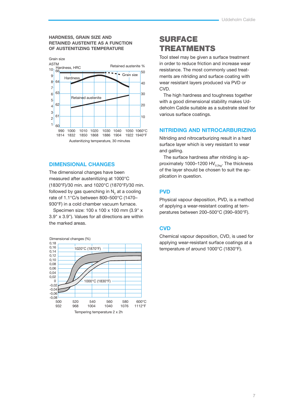#### **HARDNESS, GRAIN SIZE AND RETAINED AUSTENITE AS A FUNCTION OF AUSTENITIZING TEMPERATURE**



## **DIMENSIONAL CHANGES**

The dimensional changes have been measured after austenitizing at 1000°C (1830°F)/30 min. and 1020°C (1870°F)/30 min. followed by gas quenching in  $\mathsf{N}_2$  at a cooling rate of 1.1°C/s between 800–500°C (1470– 930°F) in a cold chamber vacuum furnace.

Specimen size: 100 x 100 x 100 mm (3.9" x 3.9" x 3.9"). Values for all directions are within the marked areas.



## SURFACE TREATMENTS

Tool steel may be given a surface treatment in order to reduce friction and increase wear resistance. The most commonly used treatments are nitriding and surface coating with wear resistant layers produced via PVD or CVD.

The high hardness and toughness together with a good dimensional stability makes Uddeholm Caldie suitable as a substrate steel for various surface coatings.

## **NITRIDING AND NITROCARBURIZING**

Nitriding and nitrocarburizing result in a hard surface layer which is very resistant to wear and galling.

The surface hardness after nitriding is approximately 1000-1200  $HV_{0.2kq}$ . The thickness of the layer should be chosen to suit the application in question.

## **PVD**

Physical vapour deposition, PVD, is a method of applying a wear-resistant coating at temperatures between 200–500°C (390–930°F).

## **CVD**

Chemical vapour deposition, CVD, is used for applying wear-resistant surface coatings at a temperature of around 1000°C (1830°F).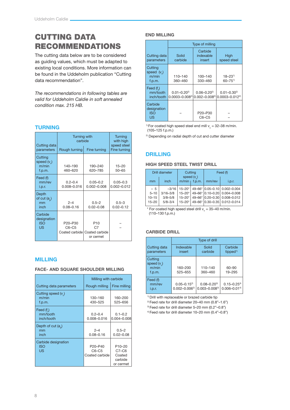# CUTTING DATA RECOMMENDATIONS

The cutting data below are to be considered as guiding values, which must be adapted to existing local conditions. More information can be found in the Uddeholm publication "Cutting data recommendation".

*The recommendations in following tables are valid for Uddeholm Caldie in soft annealed condition max. 215 HB.*

## **TURNING**

| Cutting data<br>parameters                  | <b>Turning with</b><br>carbide<br>Rough turning<br>Fine turning |                                                                  | <b>Turning</b><br>with high<br>speed steel<br>Fine turning |
|---------------------------------------------|-----------------------------------------------------------------|------------------------------------------------------------------|------------------------------------------------------------|
|                                             |                                                                 |                                                                  |                                                            |
| Cutting<br>speed $(v_*)$<br>m/min<br>f.p.m. | 140-190<br>460-620                                              | 190-240<br>620-785                                               | $15 - 20$<br>$50 - 65$                                     |
| Feed (f)<br>mm/rev<br>i.p.r.                | $0.2 - 0.4$<br>$0.008 - 0.016$                                  | $0.05 - 0.2$<br>$0.002 - 0.008$                                  | $0.05 - 0.3$<br>$0.002 - 0.012$                            |
| Depth<br>of cut $(a_n)$<br>mm<br>inch       | $2 - 4$<br>$0.08 - 0.16$                                        | $0.5 - 2$<br>$0.02 - 0.08$                                       | $0.5 - 3$<br>$0.02 - 0.12$                                 |
| Carbide<br>designation<br><b>ISO</b><br>US  | P20-P30<br>$C6-C5$<br>Coated carbide                            | P <sub>10</sub><br>C <sub>7</sub><br>Coated carbide<br>or cermet |                                                            |

## **MILLING**

|  |  |  | <b>FACE- AND SQUARE SHOULDER MILLING</b> |  |
|--|--|--|------------------------------------------|--|
|--|--|--|------------------------------------------|--|

|                                          | Milling with carbide                                          |                                                                 |
|------------------------------------------|---------------------------------------------------------------|-----------------------------------------------------------------|
| Cutting data parameters                  | Rough milling                                                 | Fine milling                                                    |
| Cutting speed $(v_*)$<br>m/min<br>f.p.m. | 130-160<br>430-525                                            | 160-200<br>525-656                                              |
| Feed (f)<br>mm/tooth<br>inch/tooth       | $0.2 - 0.4$<br>0.008-0.016                                    | $0.1 - 0.2$<br>$0.004 - 0.008$                                  |
| Depth of cut $(a)$<br>mm<br>inch         | $2 - 4$<br>$0.08 - 0.16$                                      | $0.5 - 2$<br>$0.02 - 0.08$                                      |
| Carbide designation<br><b>ISO</b><br>US  | P <sub>20</sub> -P <sub>40</sub><br>$C6-C5$<br>Coated carbide | P <sub>10-20</sub><br>$C7-C6$<br>Coated<br>carbide<br>or cermet |

## **END MILLING**

|                                            | Type of milling                           |                                       |                                                    |  |
|--------------------------------------------|-------------------------------------------|---------------------------------------|----------------------------------------------------|--|
| Cutting data<br>parameters                 | Solid<br>carbide                          | Carbide<br>indexable<br>insert        | High<br>speed steel                                |  |
| Cutting<br>speed $(v)$<br>m/min<br>f.p.m.  | 110-140<br>360-460                        | 100-140<br>330-460                    | $18 - 23$ <sup>1)</sup><br>$60 - 75$ <sup>1)</sup> |  |
| Feed $(f)$<br>mm/tooth<br>inch/tooth       | $0.01 - 0.20^{2}$<br>$0.0003 - 0.008^{2}$ | $0.06 - 0.20^{2}$<br>$0.002 - 0.0082$ | $0.01 - 0.30^{2}$<br>$0.0003 - 0.0122$             |  |
| Carbide<br>designation<br><b>ISO</b><br>US |                                           | P20-P30<br>$C6-C5$                    |                                                    |  |

<sup>1)</sup> For coated high speed steel end mill  $v_c = 32-38$  m/min. (105–125 f.p.m.)

2) Depending on radial depth of cut and cutter diameter

## **DRILLING**

## **HIGH SPEED STEEL TWIST DRILL**

| Drill diameter         |                            | Cutting<br>speed $(v_$ )   |  | Feed (f) |                                                              |
|------------------------|----------------------------|----------------------------|--|----------|--------------------------------------------------------------|
| mm                     | inch                       | $m/min + f.p.m.$           |  | mm/rev   | i.p.r.                                                       |
| $-5$<br>$5 - 10$       | $-3/16$<br>$3/16 - 3/8$    | $15 - 20$ *<br>$15 - 20$ * |  |          | 49-66* 0.05-0.10 0.002-0.004<br>49-66* 0.10-0.20 0.004-0.008 |
| $10 - 15$<br>$15 - 20$ | $3/8 - 5/8$<br>$5/8 - 3/4$ | $15 - 20^*$<br>$15 - 20$ * |  |          | 49-66* 0.20-0.30 0.008-0.012<br>49-66* 0.30-0.35 0.012-0.014 |

 $*$  For coated high speed steel drill  $v_c = 35-40$  m/min. (110–130 f.p.m.)

## **CARBIDE DRILL**

|                                             | Type of drill                            |                                                 |                                             |  |
|---------------------------------------------|------------------------------------------|-------------------------------------------------|---------------------------------------------|--|
| Cutting data<br>parameters                  | Indexable<br>insert                      | Solid<br>carbide                                | Carbide<br>tipped <sup><math>1</math></sup> |  |
| Cutting<br>speed $(v_2)$<br>m/min<br>f.p.m. | 160-200<br>525-655                       | 110-140<br>360-460                              | 60-90<br>19-295                             |  |
| Feed (f)<br>mm/rev<br>i.p.r.                | $0.05 - 0.15^{2}$<br>$0.002 - 0.006^{2}$ | $0.08 - 0.20$ <sup>3)</sup><br>$0.003 - 0.0083$ | $0.15 - 0.254$<br>$0.006 - 0.014$           |  |

1) Drill with replaceable or brazed carbide tip

<sup>2)</sup> Feed rate for drill diameter  $20-40$  mm  $(0.8"$ -1.6")

3) Feed rate for drill diameter 5–20 mm (0.2"–0.8")

4) Feed rate for drill diameter 10–20 mm (0.4"–0.8")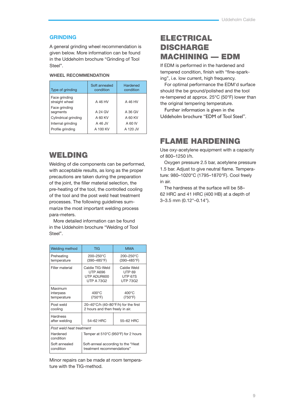## **GRINDING**

A general grinding wheel recommendation is given below. More information can be found in the Uddeholm brochure "Grinding of Tool Steel".

#### **WHEEL RECOMMENDATION**

| Type of grinding                | Soft annealed<br>condition | Hardened<br>condition |
|---------------------------------|----------------------------|-----------------------|
| Face grinding<br>straight wheel | A 46 HV                    | A 46 HV               |
| Face grinding<br>segments       | A 24 GV                    | A 36 GV               |
| Cylindrical grinding            | A 60 KV                    | A 60 KV               |
| Internal grinding               | A 46 JV                    | A 60 IV               |
| Profile grinding                | A 100 KV                   | A 120 JV              |

## WELDING

Welding of die components can be performed, with acceptable results, as long as the proper precautions are taken during the preparation of the joint, the filler material selection, the pre-heating of the tool, the controlled cooling of the tool and the post weld heat treatment processes. The following guidelines summarize the most important welding process para-meters.

More detailed information can be found in the Uddeholm brochure "Welding of Tool Steel".

| <b>Welding method</b>               | <b>TIG</b>                                                                                 | <b>MMA</b>                                                        |  |
|-------------------------------------|--------------------------------------------------------------------------------------------|-------------------------------------------------------------------|--|
| Preheating<br>temperature           | 200-250°C<br>$(390 - 485^{\circ}F)$                                                        | 200-250°C<br>(390-485°F)                                          |  |
| Filler material                     | Caldie TIG-Weld<br><b>UTP A696</b><br>UTP ADUR600<br><b>UTP A 73G2</b>                     | Caldie Weld<br><b>UTP 69</b><br><b>UTP 67S</b><br><b>UTP 73G2</b> |  |
| Maximum<br>interpass<br>temperature | $400^{\circ}$ C<br>(750°F)                                                                 | $400^{\circ}$ C<br>(750°F)                                        |  |
| Post weld<br>cooling                | 20-40 $\degree$ C/h (40-80 $\degree$ F/h) for the first<br>2 hours and then freely in air. |                                                                   |  |
| Hardness<br>after welding           | 54-62 HRC                                                                                  | 55-62 HRC                                                         |  |
| Post weld heat treatment            |                                                                                            |                                                                   |  |
| Hardened<br>condition               | Temper at $510^{\circ}$ C (950 $^{\circ}$ F) for 2 hours                                   |                                                                   |  |
| Soft annealed<br>condition          | Soft-anneal according to the "Heat<br>treatment recommendations"                           |                                                                   |  |

Minor repairs can be made at room temperature with the TIG-method.

# ELECTRICAL **DISCHARGE** MACHINING — EDM

If EDM is performed in the hardened and tempered condition, finish with "fine-sparking", i.e. low current, high frequency.

For optimal performance the EDM'd surface should the be ground/polished and the tool re-tempered at approx. 25°C (50°F) lower than the original tempering temperature.

Further information is given in the Uddeholm brochure "EDM of Tool Steel".

## FLAME HARDENING

Use oxy-acetylene equipment with a capacity of 800–1250 l/h.

Oxygen pressure 2.5 bar, acetylene pressure 1.5 bar. Adjust to give neutral flame. Temperature: 980–1020°C (1795–1870°F). Cool freely in air.

The hardness at the surface will be 58– 62 HRC and 41 HRC (400 HB) at a depth of 3–3.5 mm (0.12"–0.14").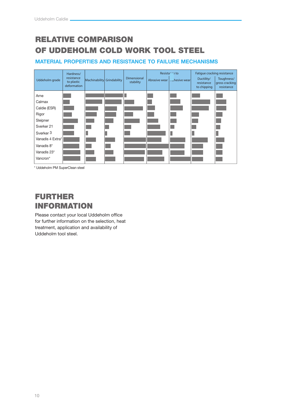# RELATIVE COMPARISON OF UDDEHOLM COLD WORK TOOL STEEL

## **MATERIAL PROPERTIES AND RESISTANCE TO FAILURE MECHANISMS**



\* Uddeholm PM SuperClean steel

# FURTHER INFORMATION

Please contact your local Uddeholm office for further information on the selection, heat treatment, application and availability of Uddeholm tool steel.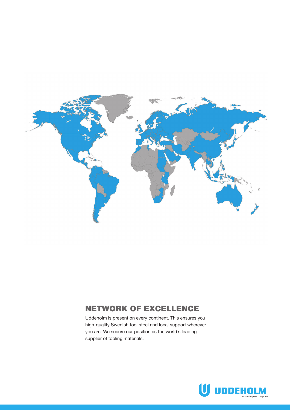

## NETWORK OF EXCELLENCE

Uddeholm is present on every continent. This ensures you high-quality Swedish tool steel and local support wherever you are. We secure our position as the world's leading supplier of tooling materials.